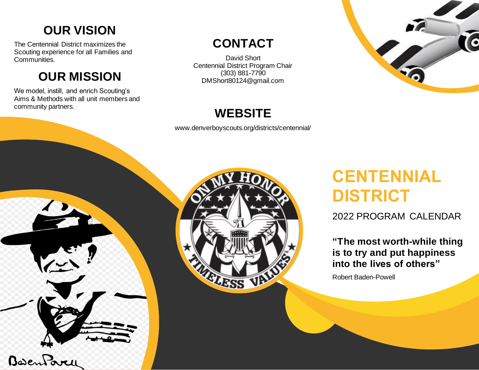## **OUR VISION**

The Centennial District maximizes the Scouting experience for all Families and Communities.

# **OUR MISSION**

We model, instill, and enrich Scouting's Aims & Methods with all unit members and community partners.

## **CONTACT**

David Short Centennial District Program Chair (303) 881-7790 DMShort80124@gmail.com



## **WEBSITE**

www.denverboyscouts.org/districts/centennial/





# **CENTENNIAL DISTRICT**

2022 PROGRAM CALENDAR

**"The most worth-while thing is to try and put happiness into the lives of others"**

Robert Baden-Powell